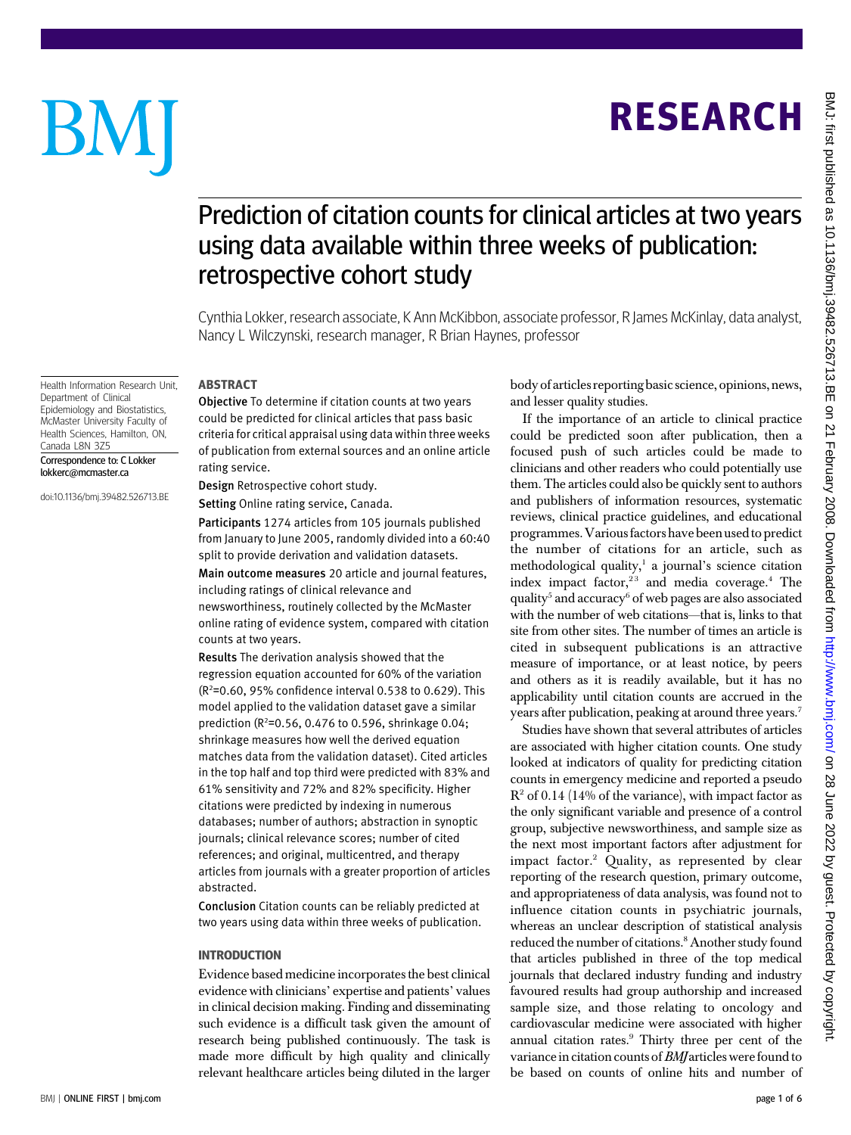# BM

# Prediction of citation counts for clinical articles at two years using data available within three weeks of publication: retrospective cohort study

Cynthia Lokker, research associate, K Ann McKibbon, associate professor, R James McKinlay, data analyst, Nancy L Wilczynski, research manager, R Brian Haynes, professor

# **ABSTRACT**

Health Information Research Unit, Department of Clinical Epidemiology and Biostatistics, McMaster University Faculty of Health Sciences, Hamilton, ON,

doi:10.1136/bmj.39482.526713.BE

Canada L8N 3Z5 Correspondence to: C Lokker lokkerc@mcmaster.ca

Objective To determine if citation counts at two years could be predicted for clinical articles that pass basic criteria for critical appraisal using data within three weeks of publication from external sources and an online article rating service.

Design Retrospective cohort study.

Setting Online rating service, Canada.

Participants 1274 articles from 105 journals published from January to June 2005, randomly divided into a 60:40 split to provide derivation and validation datasets. Main outcome measures 20 article and journal features, including ratings of clinical relevance and newsworthiness, routinely collected by the McMaster online rating of evidence system, compared with citation counts at two years.

Results The derivation analysis showed that the regression equation accounted for 60% of the variation  $(R<sup>2</sup>=0.60, 95%$  confidence interval 0.538 to 0.629). This model applied to the validation dataset gave a similar prediction ( $R^2$ =0.56, 0.476 to 0.596, shrinkage 0.04; shrinkage measures how well the derived equation matches data from the validation dataset). Cited articles in the top half and top third were predicted with 83% and 61% sensitivity and 72% and 82% specificity. Higher citations were predicted by indexing in numerous databases; number of authors; abstraction in synoptic journals; clinical relevance scores; number of cited references; and original, multicentred, and therapy articles from journals with a greater proportion of articles abstracted.

Conclusion Citation counts can be reliably predicted at two years using data within three weeks of publication.

Evidence based medicine incorporates the best clinical evidence with clinicians' expertise and patients' values in clinical decision making. Finding and disseminating such evidence is a difficult task given the amount of research being published continuously. The task is made more difficult by high quality and clinically relevant healthcare articles being diluted in the larger

body of articles reporting basic science, opinions, news, and lesser quality studies.

RESEARCH

If the importance of an article to clinical practice could be predicted soon after publication, then a focused push of such articles could be made to clinicians and other readers who could potentially use them. The articles could also be quickly sent to authors and publishers of information resources, systematic reviews, clinical practice guidelines, and educational programmes. Variousfactors have been usedto predict the number of citations for an article, such as methodological quality, $\frac{1}{x}$  a journal's science citation index impact factor, $2^3$  and media coverage.<sup>4</sup> The quality<sup>5</sup> and accuracy<sup>6</sup> of web pages are also associated with the number of web citations—that is, links to that site from other sites. The number of times an article is cited in subsequent publications is an attractive measure of importance, or at least notice, by peers and others as it is readily available, but it has no applicability until citation counts are accrued in the years after publication, peaking at around three years.7

Studies have shown that several attributes of articles are associated with higher citation counts. One study looked at indicators of quality for predicting citation counts in emergency medicine and reported a pseudo  $R<sup>2</sup>$  of 0.14 (14% of the variance), with impact factor as the only significant variable and presence of a control group, subjective newsworthiness, and sample size as the next most important factors after adjustment for impact factor.<sup>2</sup> Quality, as represented by clear reporting of the research question, primary outcome, and appropriateness of data analysis, was found not to influence citation counts in psychiatric journals, whereas an unclear description of statistical analysis reduced the number of citations.<sup>8</sup> Another study found that articles published in three of the top medical journals that declared industry funding and industry favoured results had group authorship and increased sample size, and those relating to oncology and cardiovascular medicine were associated with higher annual citation rates.9 Thirty three per cent of the variance in citation counts of BMJ articles were found to be based on counts of online hits and number of

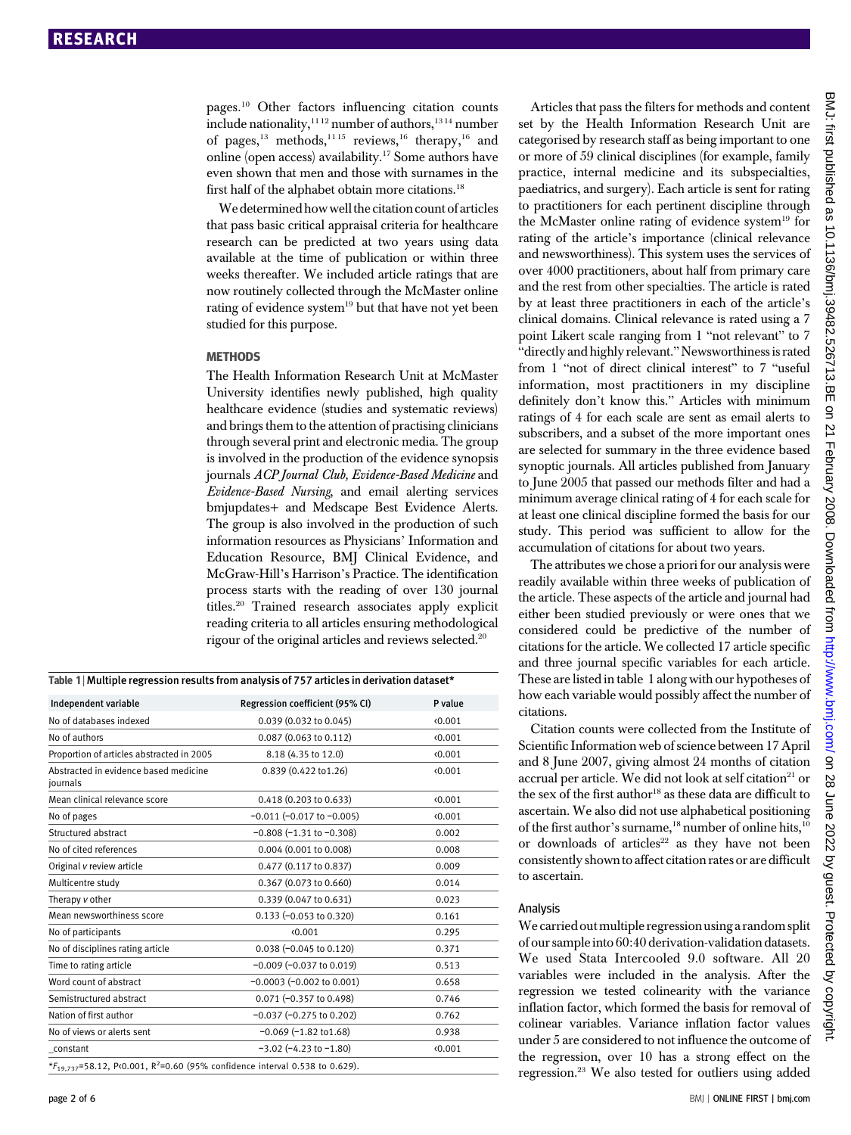pages.<sup>10</sup> Other factors influencing citation counts include nationality, $1112$  number of authors, $1314$  number of pages,<sup>13</sup> methods,<sup>1115</sup> reviews,<sup>16</sup> therapy,<sup>16</sup> and online (open access) availability.17 Some authors have even shown that men and those with surnames in the first half of the alphabet obtain more citations.<sup>18</sup>

We determined how well the citation count of articles that pass basic critical appraisal criteria for healthcare research can be predicted at two years using data available at the time of publication or within three weeks thereafter. We included article ratings that are now routinely collected through the McMaster online rating of evidence system<sup>19</sup> but that have not yet been studied for this purpose.

# **METHODS**

The Health Information Research Unit at McMaster University identifies newly published, high quality healthcare evidence (studies and systematic reviews) and brings them to the attention of practising clinicians through several print and electronic media. The group is involved in the production of the evidence synopsis journals ACP Journal Club, Evidence-Based Medicine and Evidence-Based Nursing, and email alerting services bmjupdates+ and Medscape Best Evidence Alerts. The group is also involved in the production of such information resources as Physicians' Information and Education Resource, BMJ Clinical Evidence, and McGraw-Hill's Harrison's Practice. The identification process starts with the reading of over 130 journal titles.<sup>20</sup> Trained research associates apply explicit reading criteria to all articles ensuring methodological rigour of the original articles and reviews selected.20

| Table 1   Multiple regression results from analysis of 757 articles in derivation dataset*     |                                  |         |  |
|------------------------------------------------------------------------------------------------|----------------------------------|---------|--|
| Independent variable                                                                           | Regression coefficient (95% CI)  | P value |  |
| No of databases indexed                                                                        | 0.039 (0.032 to 0.045)           | 0.001   |  |
| No of authors                                                                                  | $0.087(0.063 \text{ to } 0.112)$ | (0.001) |  |
| Proportion of articles abstracted in 2005                                                      | 8.18 (4.35 to 12.0)              | (0.001) |  |
| Abstracted in evidence based medicine<br>journals                                              | 0.839 (0.422 to1.26)             | (0.001) |  |
| Mean clinical relevance score                                                                  | $0.418(0.203 \text{ to } 0.633)$ | (0.001) |  |
| No of pages                                                                                    | $-0.011$ $(-0.017$ to $-0.005)$  | (0.001) |  |
| Structured abstract                                                                            | $-0.808(-1.31$ to $-0.308$ )     | 0.002   |  |
| No of cited references                                                                         | 0.004 (0.001 to 0.008)           | 0.008   |  |
| Original v review article                                                                      | 0.477 (0.117 to 0.837)           | 0.009   |  |
| Multicentre study                                                                              | 0.367 (0.073 to 0.660)           | 0.014   |  |
| Therapy v other                                                                                | 0.339 (0.047 to 0.631)           | 0.023   |  |
| Mean newsworthiness score                                                                      | 0.133 (-0.053 to 0.320)          | 0.161   |  |
| No of participants                                                                             | (0.001)                          | 0.295   |  |
| No of disciplines rating article                                                               | $0.038 (-0.045 to 0.120)$        | 0.371   |  |
| Time to rating article                                                                         | $-0.009$ ( $-0.037$ to 0.019)    | 0.513   |  |
| Word count of abstract                                                                         | $-0.0003$ ( $-0.002$ to 0.001)   | 0.658   |  |
| Semistructured abstract                                                                        | 0.071 (-0.357 to 0.498)          | 0.746   |  |
| Nation of first author                                                                         | $-0.037$ ( $-0.275$ to 0.202)    | 0.762   |  |
| No of views or alerts sent                                                                     | $-0.069$ $(-1.82$ to $1.68)$     | 0.938   |  |
| _constant                                                                                      | $-3.02$ ( $-4.23$ to $-1.80$ )   | (0.001) |  |
| * $F_{19,737}$ =58.12, P<0.001, R <sup>2</sup> =0.60 (95% confidence interval 0.538 to 0.629). |                                  |         |  |

Articles that pass the filters for methods and content set by the Health Information Research Unit are categorised by research staff as being important to one or more of 59 clinical disciplines (for example, family practice, internal medicine and its subspecialties, paediatrics, and surgery). Each article is sent for rating to practitioners for each pertinent discipline through the McMaster online rating of evidence system $19$  for rating of the article's importance (clinical relevance and newsworthiness). This system uses the services of over 4000 practitioners, about half from primary care and the rest from other specialties. The article is rated by at least three practitioners in each of the article's clinical domains. Clinical relevance is rated using a 7 point Likert scale ranging from 1 "not relevant" to 7 "directly and highly relevant."Newsworthiness is rated from 1 "not of direct clinical interest" to 7 "useful information, most practitioners in my discipline definitely don't know this." Articles with minimum ratings of 4 for each scale are sent as email alerts to subscribers, and a subset of the more important ones are selected for summary in the three evidence based synoptic journals. All articles published from January to June 2005 that passed our methods filter and had a minimum average clinical rating of 4 for each scale for at least one clinical discipline formed the basis for our study. This period was sufficient to allow for the accumulation of citations for about two years.

The attributes we chose a priori for our analysis were readily available within three weeks of publication of the article. These aspects of the article and journal had either been studied previously or were ones that we considered could be predictive of the number of citations for the article. We collected 17 article specific and three journal specific variables for each article. These are listed in table 1 along with our hypotheses of how each variable would possibly affect the number of citations.

Citation counts were collected from the Institute of Scientific Information web of science between 17 April and 8 June 2007, giving almost 24 months of citation accrual per article. We did not look at self citation<sup>21</sup> or the sex of the first author<sup>18</sup> as these data are difficult to ascertain. We also did not use alphabetical positioning of the first author's surname,<sup>18</sup> number of online hits,<sup>10</sup> or downloads of articles $22$  as they have not been consistently shownto affect citation rates or are difficult to ascertain.

# Analysis

We carried out multiple regression using a random split of our sample into 60:40 derivation-validation datasets. We used Stata Intercooled 9.0 software. All 20 variables were included in the analysis. After the regression we tested colinearity with the variance inflation factor, which formed the basis for removal of colinear variables. Variance inflation factor values under 5 are considered to not influence the outcome of the regression, over 10 has a strong effect on the regression.23 We also tested for outliers using added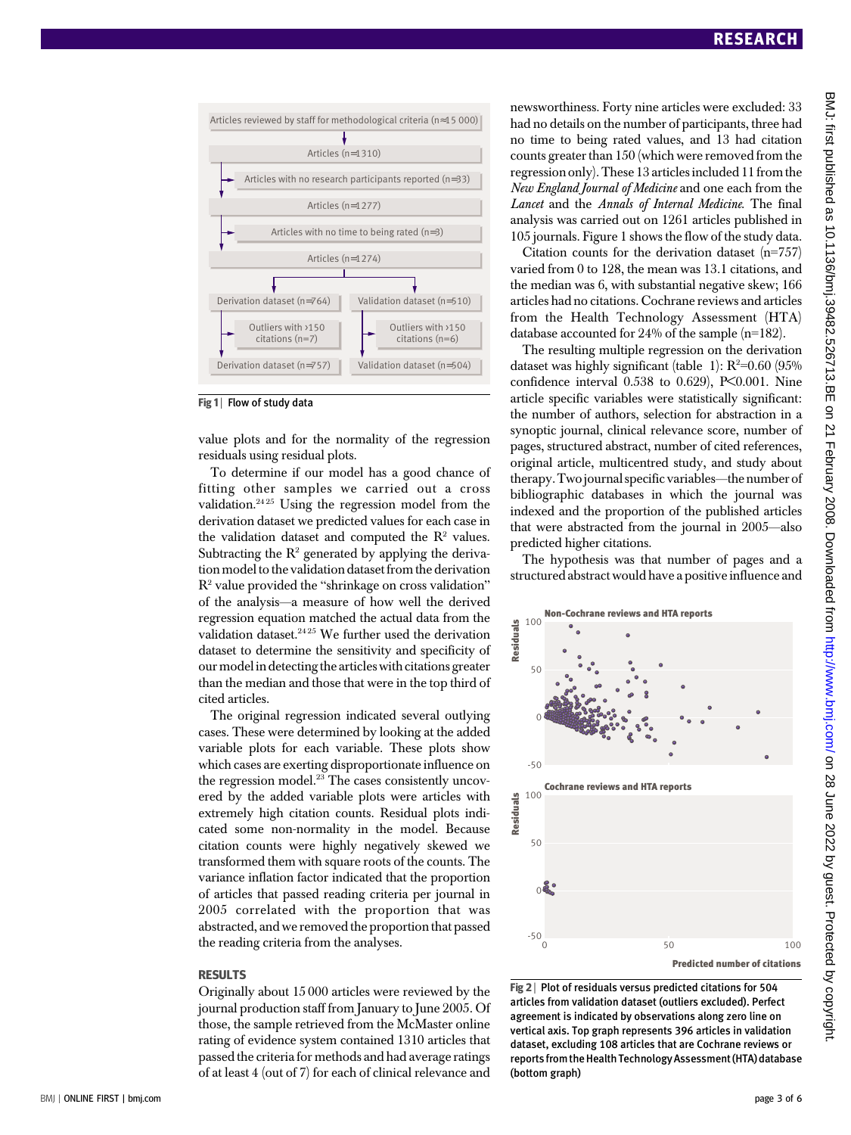

 $\overline{Fig 1}$  Flow of study data

value plots and for the normality of the regression residuals using residual plots.

To determine if our model has a good chance of fitting other samples we carried out a cross validation. $2425$  Using the regression model from the derivation dataset we predicted values for each case in the validation dataset and computed the  $R<sup>2</sup>$  values. Subtracting the  $R^2$  generated by applying the derivation model to the validation dataset from the derivation  $R<sup>2</sup>$  value provided the "shrinkage on cross validation" of the analysis—a measure of how well the derived regression equation matched the actual data from the validation dataset.<sup>2425</sup> We further used the derivation dataset to determine the sensitivity and specificity of our model in detecting the articles with citations greater than the median and those that were in the top third of cited articles.

The original regression indicated several outlying cases. These were determined by looking at the added variable plots for each variable. These plots show which cases are exerting disproportionate influence on the regression model.<sup>23</sup> The cases consistently uncovered by the added variable plots were articles with extremely high citation counts. Residual plots indicated some non-normality in the model. Because citation counts were highly negatively skewed we transformed them with square roots of the counts. The variance inflation factor indicated that the proportion of articles that passed reading criteria per journal in 2005 correlated with the proportion that was abstracted, and we removed the proportion that passed the reading criteria from the analyses.

Originally about 15 000 articles were reviewed by the journal production staff from January to June 2005. Of those, the sample retrieved from the McMaster online rating of evidence system contained 1310 articles that passed the criteria for methods and had average ratings of at least 4 (out of 7) for each of clinical relevance and newsworthiness. Forty nine articles were excluded: 33 had no details on the number of participants, three had no time to being rated values, and 13 had citation counts greater than 150 (which were removed from the regression only). These 13 articles included 11 from the New England Journal of Medicine and one each from the Lancet and the Annals of Internal Medicine. The final analysis was carried out on 1261 articles published in 105 journals. Figure 1 shows the flow of the study data.

Citation counts for the derivation dataset (n=757) varied from 0 to 128, the mean was 13.1 citations, and the median was 6, with substantial negative skew; 166 articles had no citations. Cochrane reviews and articles from the Health Technology Assessment (HTA) database accounted for 24% of the sample (n=182).

The resulting multiple regression on the derivation dataset was highly significant (table  $1$ ):  $R^2$ =0.60 (95%) confidence interval  $0.538$  to  $0.629$ ), P $\leq 0.001$ . Nine article specific variables were statistically significant: the number of authors, selection for abstraction in a synoptic journal, clinical relevance score, number of pages, structured abstract, number of cited references, original article, multicentred study, and study about therapy.Two journal specific variables—the number of bibliographic databases in which the journal was indexed and the proportion of the published articles that were abstracted from the journal in 2005—also predicted higher citations.

The hypothesis was that number of pages and a structured abstract would have a positive influence and



Fig 2 | Plot of residuals versus predicted citations for 504 articles from validation dataset (outliers excluded). Perfect agreement is indicated by observations along zero line on vertical axis. Top graph represents 396 articles in validation dataset, excluding 108 articles that are Cochrane reviews or reports from the Health Technology Assessment (HTA) database (bottom graph)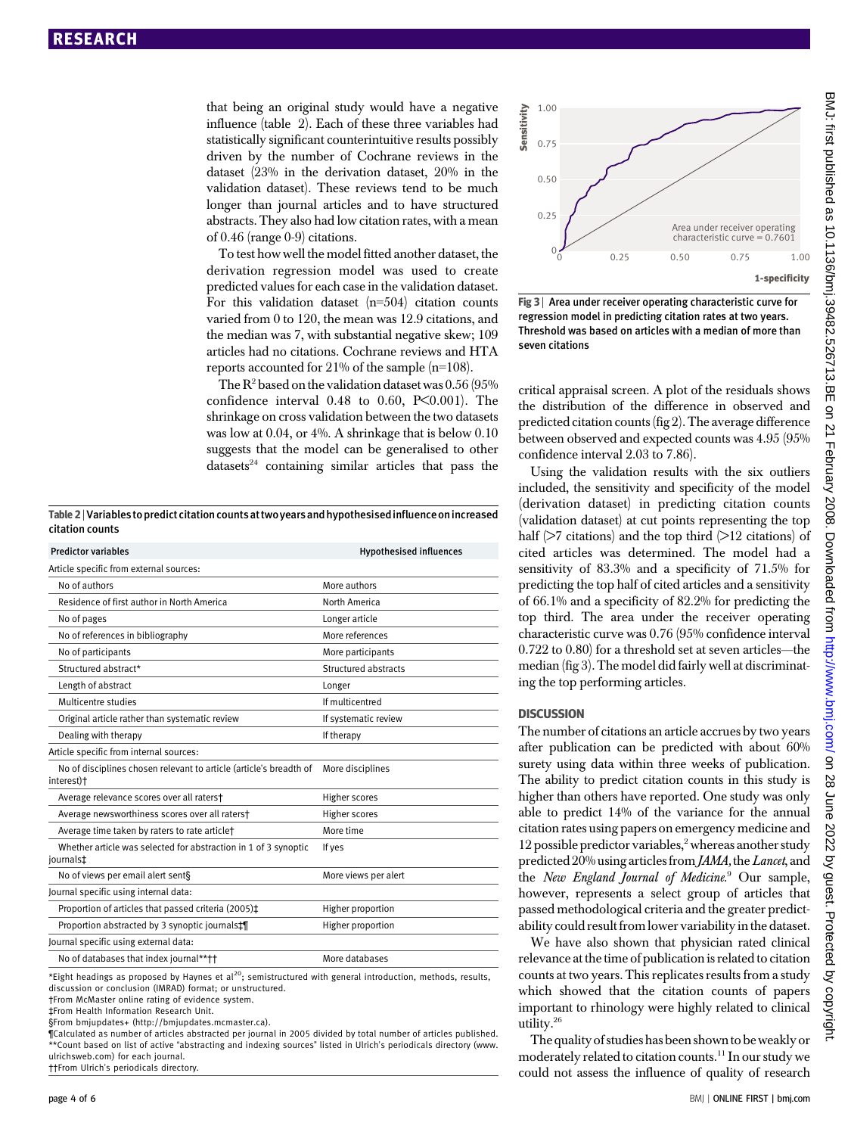that being an original study would have a negative influence (table 2). Each of these three variables had statistically significant counterintuitive results possibly driven by the number of Cochrane reviews in the dataset (23% in the derivation dataset, 20% in the validation dataset). These reviews tend to be much longer than journal articles and to have structured abstracts. They also had low citation rates, with a mean of 0.46 (range 0-9) citations.

To test how well the model fitted another dataset, the derivation regression model was used to create predicted values for each case in the validation dataset. For this validation dataset (n=504) citation counts varied from 0 to 120, the mean was 12.9 citations, and the median was 7, with substantial negative skew; 109 articles had no citations. Cochrane reviews and HTA reports accounted for 21% of the sample (n=108).

The  $R^2$  based on the validation dataset was 0.56 (95%) confidence interval  $0.48$  to  $0.60$ ,  $P<0.001$ ). The shrinkage on cross validation between the two datasets was low at 0.04, or 4%. A shrinkage that is below 0.10 suggests that the model can be generalised to other  $datasets<sup>24</sup>$  containing similar articles that pass the

Table 2 | Variables to predict citation counts at two years and hypothesised influence on increased citation counts

| <b>Predictor variables</b>                                                                   | <b>Hypothesised influences</b> |
|----------------------------------------------------------------------------------------------|--------------------------------|
| Article specific from external sources:                                                      |                                |
| No of authors                                                                                | More authors                   |
| Residence of first author in North America                                                   | North America                  |
| No of pages                                                                                  | Longer article                 |
| No of references in bibliography                                                             | More references                |
| No of participants                                                                           | More participants              |
| Structured abstract*                                                                         | Structured abstracts           |
| Length of abstract                                                                           | Longer                         |
| Multicentre studies                                                                          | If multicentred                |
| Original article rather than systematic review                                               | If systematic review           |
| Dealing with therapy                                                                         | If therapy                     |
| Article specific from internal sources:                                                      |                                |
| No of disciplines chosen relevant to article (article's breadth of<br>interest) <sup>+</sup> | More disciplines               |
| Average relevance scores over all raterst                                                    | Higher scores                  |
| Average newsworthiness scores over all raterst                                               | Higher scores                  |
| Average time taken by raters to rate article†                                                | More time                      |
| Whether article was selected for abstraction in 1 of 3 synoptic<br>journals <sup>±</sup>     | If yes                         |
| No of views per email alert sent§                                                            | More views per alert           |
| Journal specific using internal data:                                                        |                                |
| Proportion of articles that passed criteria (2005)‡                                          | Higher proportion              |
| Proportion abstracted by 3 synoptic journals:                                                | Higher proportion              |
| Journal specific using external data:                                                        |                                |
| No of databases that index journal**††                                                       | More databases                 |
| .20                                                                                          |                                |

\*Eight headings as proposed by Haynes et al<sup>20</sup>; semistructured with general introduction, methods, results, discussion or conclusion (IMRAD) format; or unstructured.

†From McMaster online rating of evidence system.

‡From Health Information Research Unit.

§From bmjupdates+ (http://bmjupdates.mcmaster.ca).

¶Calculated as number of articles abstracted per journal in 2005 divided by total number of articles published. \*\*Count based on list of active "abstracting and indexing sources" listed in Ulrich's periodicals directory (www. ulrichsweb.com) for each journal.

††From Ulrich's periodicals directory.



Fig 3 | Area under receiver operating characteristic curve for regression model in predicting citation rates at two years. Threshold was based on articles with a median of more than seven citations

critical appraisal screen. A plot of the residuals shows the distribution of the difference in observed and predicted citation counts (fig 2). The average difference between observed and expected counts was 4.95 (95% confidence interval 2.03 to 7.86).

Using the validation results with the six outliers included, the sensitivity and specificity of the model (derivation dataset) in predicting citation counts (validation dataset) at cut points representing the top half  $($ >7 citations) and the top third  $($ >12 citations) of cited articles was determined. The model had a sensitivity of 83.3% and a specificity of 71.5% for predicting the top half of cited articles and a sensitivity of 66.1% and a specificity of 82.2% for predicting the top third. The area under the receiver operating characteristic curve was 0.76 (95% confidence interval 0.722 to 0.80) for a threshold set at seven articles—the median (fig 3). The model did fairly well at discriminating the top performing articles.

The number of citations an article accrues by two years after publication can be predicted with about 60% surety using data within three weeks of publication. The ability to predict citation counts in this study is higher than others have reported. One study was only able to predict 14% of the variance for the annual citation rates using papers on emergency medicine and 12 possible predictor variables, $2$  whereas another study predicted 20% using articles from *JAMA*, the *Lancet*, and the New England Journal of Medicine.<sup>9</sup> Our sample, however, represents a select group of articles that passed methodological criteria and the greater predictability could result from lower variability in the dataset.

We have also shown that physician rated clinical relevance at the time of publication is related to citation counts at two years. This replicates results from a study which showed that the citation counts of papers important to rhinology were highly related to clinical utility.26

The quality of studies has been shownto be weakly or moderately related to citation counts.<sup>11</sup> In our study we could not assess the influence of quality of research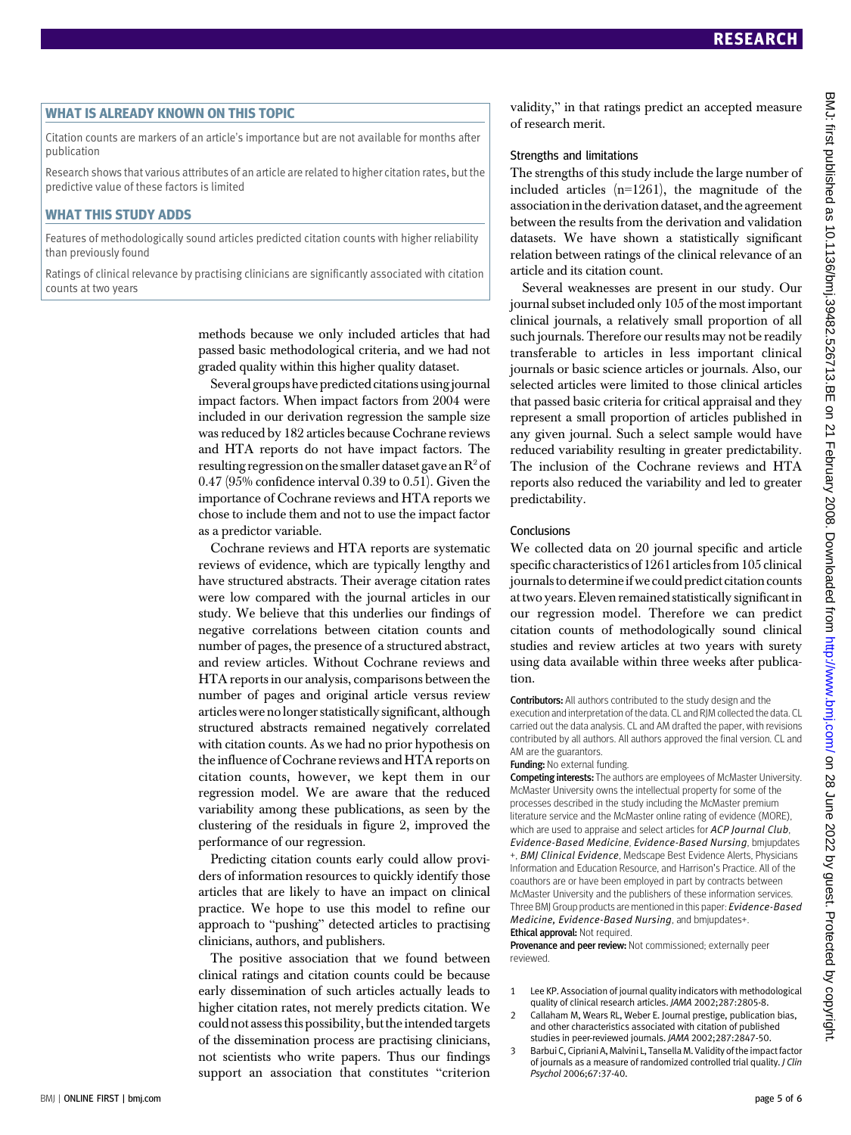WHAT IS ALREADY KNOWN ON THIS TOPIC Citation counts are markers of an article's importance but are not available for months after publication

Research shows that various attributes of an article are related to higher citation rates, but the predictive value of these factors is limited

WHAT THIS STUDY ADDS Features of methodologically sound articles predicted citation counts with higher reliability than previously found

Ratings of clinical relevance by practising clinicians are significantly associated with citation counts at two years

> methods because we only included articles that had passed basic methodological criteria, and we had not graded quality within this higher quality dataset.

> Several groups have predicted citations using journal impact factors. When impact factors from 2004 were included in our derivation regression the sample size was reduced by 182 articles because Cochrane reviews and HTA reports do not have impact factors. The resulting regression on the smaller dataset gave an  $R^2$  of 0.47 (95% confidence interval 0.39 to 0.51). Given the importance of Cochrane reviews and HTA reports we chose to include them and not to use the impact factor as a predictor variable.

> Cochrane reviews and HTA reports are systematic reviews of evidence, which are typically lengthy and have structured abstracts. Their average citation rates were low compared with the journal articles in our study. We believe that this underlies our findings of negative correlations between citation counts and number of pages, the presence of a structured abstract, and review articles. Without Cochrane reviews and HTA reports in our analysis, comparisons between the number of pages and original article versus review articles were no longer statistically significant, although structured abstracts remained negatively correlated with citation counts. As we had no prior hypothesis on the influence of Cochrane reviews and HTA reports on citation counts, however, we kept them in our regression model. We are aware that the reduced variability among these publications, as seen by the clustering of the residuals in figure 2, improved the performance of our regression.

> Predicting citation counts early could allow providers of information resources to quickly identify those articles that are likely to have an impact on clinical practice. We hope to use this model to refine our approach to "pushing" detected articles to practising clinicians, authors, and publishers.

> The positive association that we found between clinical ratings and citation counts could be because early dissemination of such articles actually leads to higher citation rates, not merely predicts citation. We could not assess this possibility, but the intended targets of the dissemination process are practising clinicians, not scientists who write papers. Thus our findings support an association that constitutes "criterion

validity," in that ratings predict an accepted measure of research merit.

# Strengths and limitations

The strengths of this study include the large number of included articles (n=1261), the magnitude of the association in the derivation dataset, and the agreement between the results from the derivation and validation datasets. We have shown a statistically significant relation between ratings of the clinical relevance of an article and its citation count.

Several weaknesses are present in our study. Our journal subset included only 105 of the most important clinical journals, a relatively small proportion of all such journals. Therefore our results may not be readily transferable to articles in less important clinical journals or basic science articles or journals. Also, our selected articles were limited to those clinical articles that passed basic criteria for critical appraisal and they represent a small proportion of articles published in any given journal. Such a select sample would have reduced variability resulting in greater predictability. The inclusion of the Cochrane reviews and HTA reports also reduced the variability and led to greater predictability.

## **Conclusions**

We collected data on 20 journal specific and article specific characteristics of 1261 articlesfrom 105 clinical journals to determine if we could predict citation counts at two years. Eleven remained statistically significant in our regression model. Therefore we can predict citation counts of methodologically sound clinical studies and review articles at two years with surety using data available within three weeks after publication.

Contributors: All authors contributed to the study design and the execution and interpretation of the data. CL and RJM collected the data. CL carried out the data analysis. CL and AM drafted the paper, with revisions contributed by all authors. All authors approved the final version. CL and AM are the guarantors.

Funding: No external funding.

Competing interests: The authors are employees of McMaster University. McMaster University owns the intellectual property for some of the processes described in the study including the McMaster premium literature service and the McMaster online rating of evidence (MORE), which are used to appraise and select articles for ACP Journal Club. Evidence-Based Medicine, Evidence-Based Nursing, bmjupdates

+, BMJ Clinical Evidence, Medscape Best Evidence Alerts, Physicians Information and Education Resource, and Harrison's Practice. All of the coauthors are or have been employed in part by contracts between McMaster University and the publishers of these information services. Three BMJ Group products are mentioned in this paper: Evidence-Based Medicine, Evidence-Based Nursing, and bmjupdates+. Ethical approval: Not required.

Provenance and peer review: Not commissioned; externally peer reviewed.

- 1 Lee KP. Association of journal quality indicators with methodological quality of clinical research articles. JAMA 2002;287:2805-8.
- 2 Callaham M, Wears RL, Weber E. Journal prestige, publication bias, and other characteristics associated with citation of published studies in peer-reviewed journals. JAMA 2002;287:2847-50.
- 3 Barbui C, Cipriani A, Malvini L, Tansella M. Validity of the impact factor of journals as a measure of randomized controlled trial quality. J Clin Psychol 2006;67:37-40.